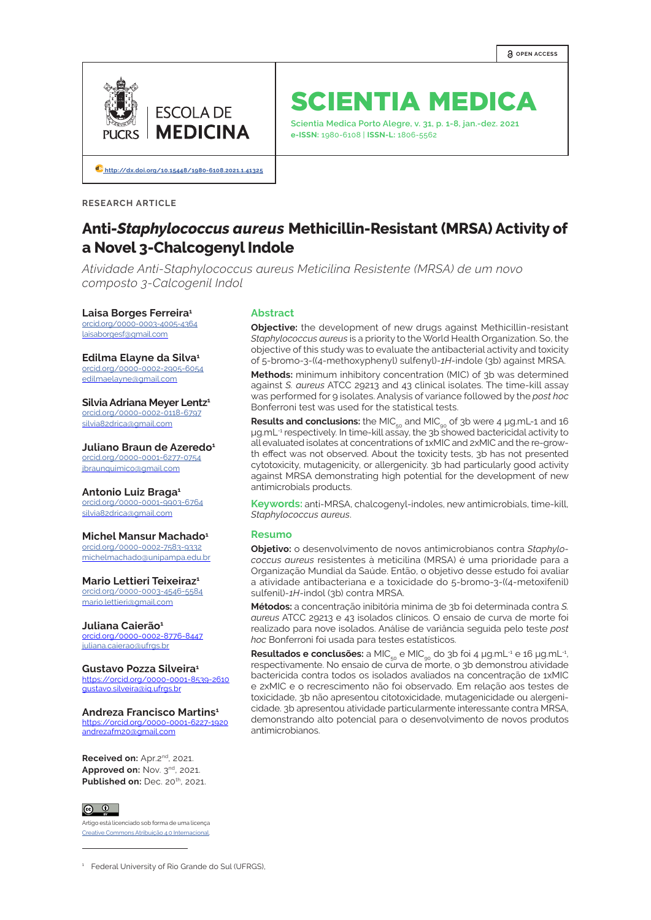

# SCIENTIA MEDICA

**Scientia Medica Porto Alegre, v. 31, p. 1-8, jan.-dez. 2021 e-ISSN:** 1980-6108 | **ISSN-L:** 1806-5562

**[http://dx.doi.org/10.15448/1980-6108.2021.1.4](http://dx.doi.org/10.15448/1980-6108.2021.1.41325)1325**

**RESEARCH ARTICLE**

# **Anti-***Staphylococcus aureus* **Methicillin-Resistant (MRSA) Activity of a Novel 3-Chalcogenyl Indole**

*Atividade Anti-Staphylococcus aureus Meticilina Resistente (MRSA) de um novo composto 3-Calcogenil Indol*

#### **Laisa Borges Ferreira1**

[orcid.org/](http://orcid.org/0000-0002-4167-1519)0000-0003-4005-4364 laisaborgesf@gmail.com

## **Edilma Elayne da Silva1**

[orcid.org/0](https://orcid.org/0000-0002-5473-9949)000-0002-2905-6054 edilmaelayne@gmail.com

**Silvia Adriana Meyer Lentz1** [orcid.org/0](https://orcid.org/0000-0002-4149-7012)000-0002-0118-6797

silvia82drica@gmail.com

**Juliano Braun de Azeredo<sup>1</sup>** [orcid.org/0](https://orcid.org/0000-0002-4149-7012)000-0001-6277-0754 jbraunquimico@gmail.com

#### **Antonio Luiz Braga1**

[orcid.org/0](https://orcid.org/0000-0002-4149-7012)000-0001-9903-6764 silvia82drica@gmail.com

#### **Michel Mansur Machado1**

[orcid.org/0](https://orcid.org/0000-0002-4149-7012)000-0002-7583-9332 michelmachado@unipampa.edu.br

#### **Mario Lettieri Teixeiraz1**

[orcid.org/0](https://orcid.org/0000-0002-4149-7012)000-0003-4546-5584 mario.lettieri@gmail.com

#### Juliana Caierão<sup>1</sup>

orcid.org/0000-0002-8776-8447 juliana.caierao@ufrgs.br

#### **Gustavo Pozza Silveira1**

https://orcid.org/0000-0001-8539-2610 gustavo.silveira@iq.ufrgs.br

#### **Andreza Francisco Martins1**

https://orcid.org/0000-0001-6227-1920 andrezafm20@gmail.com

**Received on:** Apr.2nd, 2021. **Approved on: Nov. 3<sup>nd</sup>, 2021. Published on: Dec. 20<sup>th</sup>, 2021.** 

# $\circ$   $\circ$

Artigo está licenciado sob forma de uma licença [Creative Commons Atribuição 4.0 Internacional](https://creativecommons.org/licenses/by/4.0/deed.pt_BR). **Abstract**

**Objective:** the development of new drugs against Methicillin-resistant *Staphylococcus aureus* is a priority to the World Health Organization. So, the objective of this study was to evaluate the antibacterial activity and toxicity of 5-bromo-3-((4-methoxyphenyl) sulfenyl)-*1H*-indole (3b) against MRSA.

**Methods:** minimum inhibitory concentration (MIC) of 3b was determined against *S. aureus* ATCC 29213 and 43 clinical isolates. The time-kill assay was performed for 9 isolates. Analysis of variance followed by the *post hoc* Bonferroni test was used for the statistical tests.

Results and conclusions: the MIC<sub>50</sub> and MIC<sub>00</sub> of 3b were 4 µg.mL-1 and 16 μg.mL<sup>-1</sup> respectively. In time-kill assay, the 3b showed bactericidal activity to all evaluated isolates at concentrations of 1xMIC and 2xMIC and the re-growth effect was not observed. About the toxicity tests, 3b has not presented cytotoxicity, mutagenicity, or allergenicity. 3b had particularly good activity against MRSA demonstrating high potential for the development of new antimicrobials products.

**Keywords:** anti-MRSA, chalcogenyl-indoles, new antimicrobials, time-kill, *Staphylococcus aureus*.

#### **Resumo**

**Objetivo:** o desenvolvimento de novos antimicrobianos contra *Staphylococcus aureus* resistentes à meticilina (MRSA) é uma prioridade para a Organização Mundial da Saúde. Então, o objetivo desse estudo foi avaliar a atividade antibacteriana e a toxicidade do 5-bromo-3-((4-metoxifenil) sulfenil)-*1H*-indol (3b) contra MRSA.

**Métodos:** a concentração inibitória minima de 3b foi determinada contra *S. aureus* ATCC 29213 e 43 isolados clínicos. O ensaio de curva de morte foi realizado para nove isolados. Análise de variância seguida pelo teste *post hoc* Bonferroni foi usada para testes estatísticos.

**Resultados e conclusões:** a MIC<sub>50</sub> e MIC<sub>00</sub> do 3b foi 4 μg.mL<sup>-1</sup> e 16 μg.mL<sup>-1</sup>, respectivamente. No ensaio de curva de morte, o 3b demonstrou atividade bactericida contra todos os isolados avaliados na concentração de 1xMIC e 2xMIC e o recrescimento não foi observado. Em relação aos testes de toxicidade, 3b não apresentou citotoxicidade, mutagenicidade ou alergenicidade. 3b apresentou atividade particularmente interessante contra MRSA, demonstrando alto potencial para o desenvolvimento de novos produtos antimicrobianos.

<sup>&</sup>lt;sup>1</sup> Federal University of Rio Grande do Sul (UFRGS),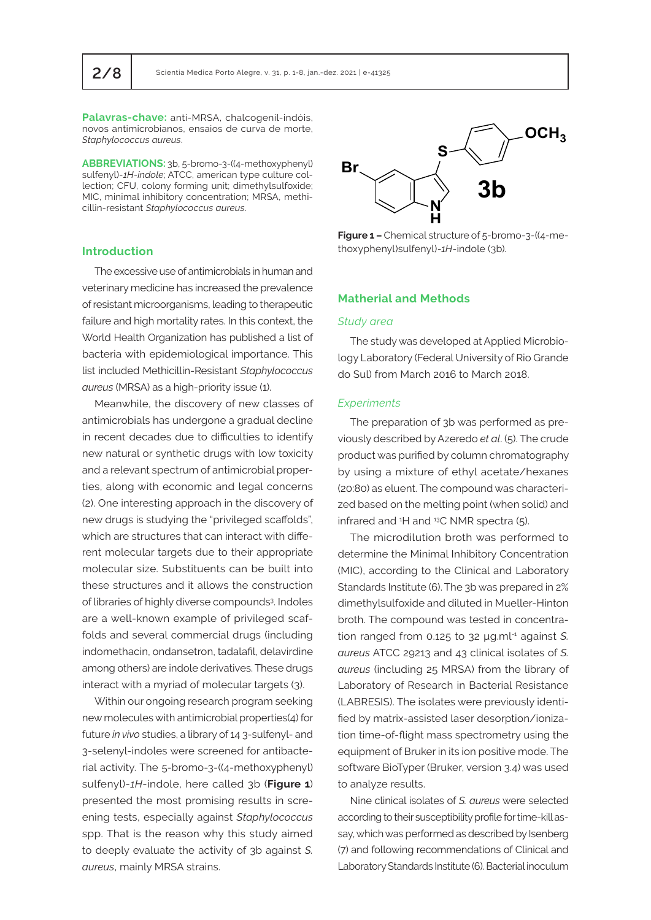**Palavras-chave:** anti-MRSA, chalcogenil-indóis, novos antimicrobianos, ensaios de curva de morte, *Staphylococcus aureus*.

**ABBREVIATIONS:** 3b, 5-bromo-3-((4-methoxyphenyl) sulfenyl)-*1H-indole*; ATCC, american type culture collection; CFU, colony forming unit; dimethylsulfoxide; MIC, minimal inhibitory concentration; MRSA, methicillin-resistant *Staphylococcus aureus*.

#### **Introduction**

The excessive use of antimicrobials in human and veterinary medicine has increased the prevalence of resistant microorganisms, leading to therapeutic failure and high mortality rates. In this context, the World Health Organization has published a list of bacteria with epidemiological importance. This list included Methicillin-Resistant *Staphylococcus aureus* (MRSA) as a high-priority issue (1).

Meanwhile, the discovery of new classes of antimicrobials has undergone a gradual decline in recent decades due to difficulties to identify new natural or synthetic drugs with low toxicity and a relevant spectrum of antimicrobial properties, along with economic and legal concerns (2). One interesting approach in the discovery of new drugs is studying the "privileged scaffolds", which are structures that can interact with different molecular targets due to their appropriate molecular size. Substituents can be built into these structures and it allows the construction of libraries of highly diverse compounds<sup>3</sup>. Indoles are a well-known example of privileged scaffolds and several commercial drugs (including indomethacin, ondansetron, tadalafil, delavirdine among others) are indole derivatives. These drugs interact with a myriad of molecular targets (3).

Within our ongoing research program seeking new molecules with antimicrobial properties(4) for future *in vivo* studies, a library of 14 3-sulfenyl- and 3-selenyl-indoles were screened for antibacterial activity. The 5-bromo-3-((4-methoxyphenyl) sulfenyl)-*1H*-indole, here called 3b (**Figure 1**) presented the most promising results in screening tests, especially against *Staphylococcus*  spp. That is the reason why this study aimed to deeply evaluate the activity of 3b against *S. aureus*, mainly MRSA strains.



**Figure 1 –** Chemical structure of 5-bromo-3-((4-methoxyphenyl)sulfenyl)-*1H*-indole (3b).

# **Matherial and Methods**

#### *Study area*

The study was developed at Applied Microbiology Laboratory (Federal University of Rio Grande do Sul) from March 2016 to March 2018.

#### *Experiments*

The preparation of 3b was performed as previously described by Azeredo *et al*. (5). The crude product was purified by column chromatography by using a mixture of ethyl acetate/hexanes (20:80) as eluent. The compound was characterized based on the melting point (when solid) and infrared and <sup>1</sup>H and <sup>13</sup>C NMR spectra (5).

The microdilution broth was performed to determine the Minimal Inhibitory Concentration (MIC), according to the Clinical and Laboratory Standards Institute (6). The 3b was prepared in 2% dimethylsulfoxide and diluted in Mueller-Hinton broth. The compound was tested in concentration ranged from 0.125 to 32 µg.ml-1 against *S. aureus* ATCC 29213 and 43 clinical isolates of *S. aureus* (including 25 MRSA) from the library of Laboratory of Research in Bacterial Resistance (LABRESIS). The isolates were previously identified by matrix-assisted laser desorption/ionization time-of-flight mass spectrometry using the equipment of Bruker in its ion positive mode. The software BioTyper (Bruker, version 3.4) was used to analyze results.

Nine clinical isolates of *S. aureus* were selected according to their susceptibility profile for time-kill assay, which was performed as described by Isenberg (7) and following recommendations of Clinical and Laboratory Standards Institute (6). Bacterial inoculum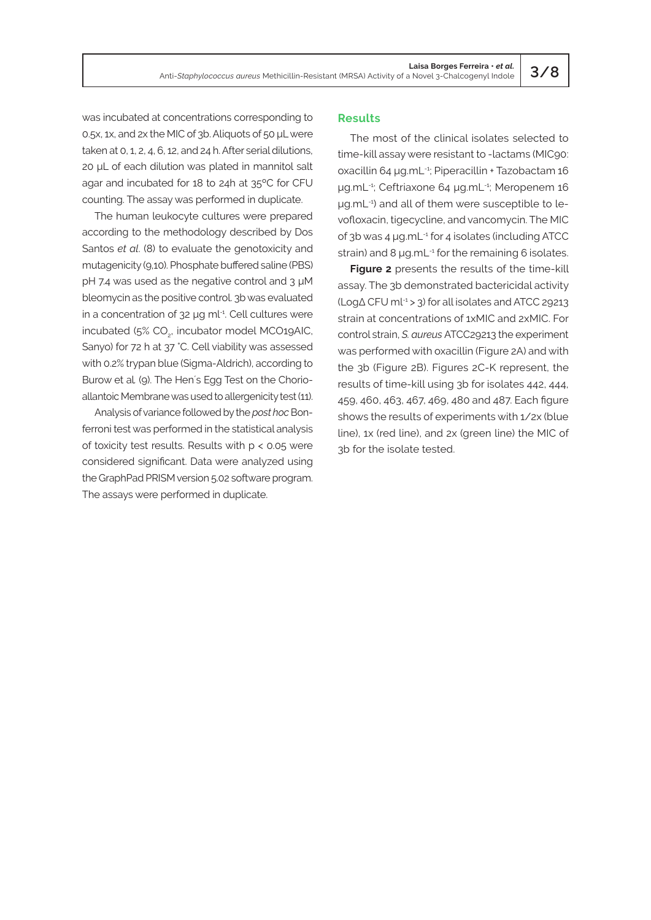was incubated at concentrations corresponding to 0.5x, 1x, and 2x the MIC of 3b. Aliquots of 50 μL were taken at 0, 1, 2, 4, 6, 12, and 24 h. After serial dilutions, 20 μL of each dilution was plated in mannitol salt agar and incubated for 18 to 24h at 35ºC for CFU counting. The assay was performed in duplicate.

The human leukocyte cultures were prepared according to the methodology described by Dos Santos *et al*. (8) to evaluate the genotoxicity and mutagenicity (9,10). Phosphate buffered saline (PBS) pH 7.4 was used as the negative control and 3 μM bleomycin as the positive control. 3b was evaluated in a concentration of 32 µg ml-1. Cell cultures were incubated (5% CO<sub>2</sub>, incubator model MCO19AIC, Sanyo) for 72 h at 37 °C. Cell viability was assessed with 0.2% trypan blue (Sigma-Aldrich), according to Burow et al*.* (9). The Hen´s Egg Test on the Chorioallantoic Membrane was used to allergenicity test (11).

Analysis of variance followed by the *post hoc* Bonferroni test was performed in the statistical analysis of toxicity test results. Results with p < 0.05 were considered significant. Data were analyzed using the GraphPad PRISM version 5.02 software program. The assays were performed in duplicate.

# **Results**

The most of the clinical isolates selected to time-kill assay were resistant to -lactams (MIC90: oxacillin 64 μg.mL-1; Piperacillin + Tazobactam 16 μg.mL-1; Ceftriaxone 64 μg.mL-1; Meropenem 16 μg.mL-1) and all of them were susceptible to levofloxacin, tigecycline, and vancomycin. The MIC of 3b was 4 μg.mL-1 for 4 isolates (including ATCC strain) and  $8 \mu$ g.mL $-1$  for the remaining 6 isolates.

**Figure 2** presents the results of the time-kill assay. The 3b demonstrated bactericidal activity (LogΔ CFU ml-1 > 3) for all isolates and ATCC 29213 strain at concentrations of 1xMIC and 2xMIC. For control strain, *S. aureus* ATCC29213 the experiment was performed with oxacillin (Figure 2A) and with the 3b (Figure 2B). Figures 2C-K represent, the results of time-kill using 3b for isolates 442, 444, 459, 460, 463, 467, 469, 480 and 487. Each figure shows the results of experiments with 1/2x (blue line), 1x (red line), and 2x (green line) the MIC of 3b for the isolate tested.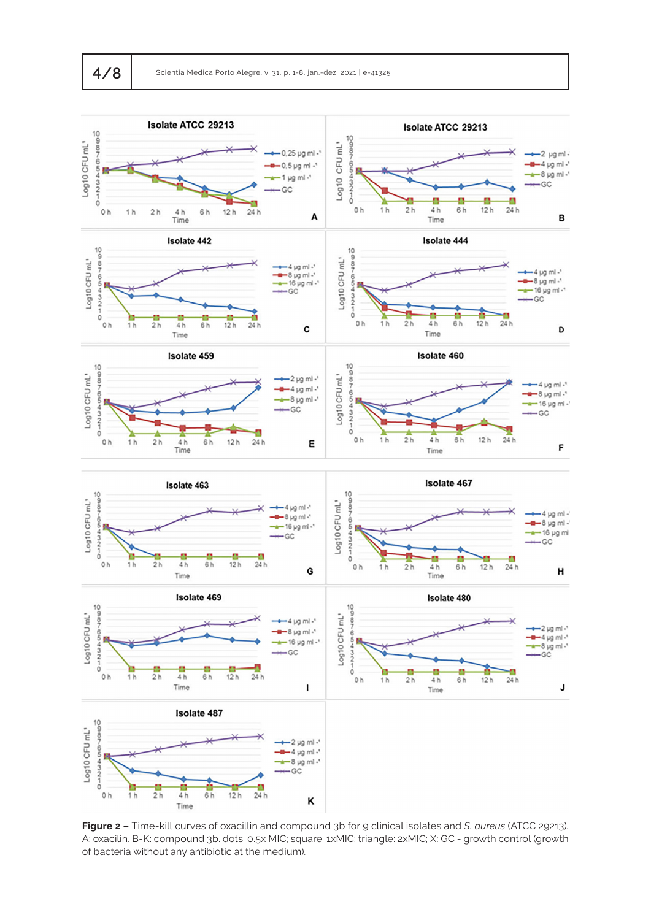

**Figure 2 –** Time-kill curves of oxacillin and compound 3b for 9 clinical isolates and *S. aureus* (ATCC 29213). A: oxacilin. B-K: compound 3b. dots: 0.5x MIC; square: 1xMIC; triangle: 2xMIC; X: GC - growth control (growth of bacteria without any antibiotic at the medium).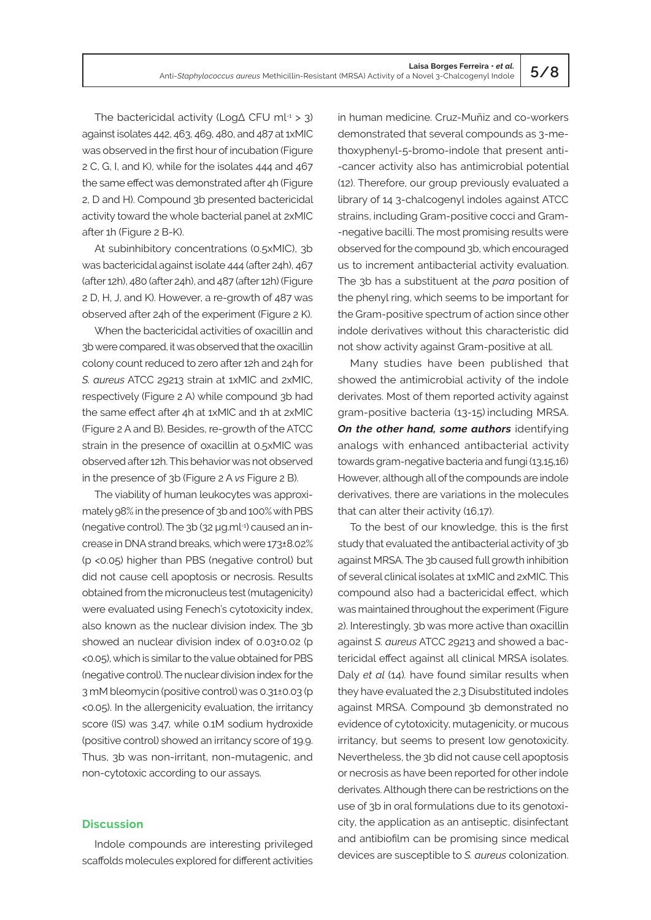The bactericidal activity (LogΔ CFU ml-1 > 3) against isolates 442, 463, 469, 480, and 487 at 1xMIC was observed in the first hour of incubation (Figure 2 C, G, I, and K), while for the isolates 444 and 467 the same effect was demonstrated after 4h (Figure 2, D and H). Compound 3b presented bactericidal activity toward the whole bacterial panel at 2xMIC after 1h (Figure 2 B-K).

At subinhibitory concentrations (0.5xMIC), 3b was bactericidal against isolate 444 (after 24h), 467 (after 12h), 480 (after 24h), and 487 (after 12h) (Figure 2 D, H, J, and K). However, a re-growth of 487 was observed after 24h of the experiment (Figure 2 K).

When the bactericidal activities of oxacillin and 3b were compared, it was observed that the oxacillin colony count reduced to zero after 12h and 24h for *S. aureus* ATCC 29213 strain at 1xMIC and 2xMIC, respectively (Figure 2 A) while compound 3b had the same effect after 4h at 1xMIC and 1h at 2xMIC (Figure 2 A and B). Besides, re-growth of the ATCC strain in the presence of oxacillin at 0.5xMIC was observed after 12h. This behavior was not observed in the presence of 3b (Figure 2 A *vs* Figure 2 B).

The viability of human leukocytes was approximately 98% in the presence of 3b and 100% with PBS (negative control). The 3b (32 µg.ml-1) caused an increase in DNA strand breaks, which were 173±8.02% (p <0.05) higher than PBS (negative control) but did not cause cell apoptosis or necrosis. Results obtained from the micronucleus test (mutagenicity) were evaluated using Fenech's cytotoxicity index, also known as the nuclear division index. The 3b showed an nuclear division index of 0.03±0.02 (p <0.05), which is similar to the value obtained for PBS (negative control). The nuclear division index for the 3 mM bleomycin (positive control) was 0.31±0.03 (p <0.05). In the allergenicity evaluation, the irritancy score (IS) was 3.47, while 0.1M sodium hydroxide (positive control) showed an irritancy score of 19.9. Thus, 3b was non-irritant, non-mutagenic, and non-cytotoxic according to our assays.

#### **Discussion**

Indole compounds are interesting privileged scaffolds molecules explored for different activities in human medicine. Cruz-Muñiz and co-workers demonstrated that several compounds as 3-methoxyphenyl-5-bromo-indole that present anti- -cancer activity also has antimicrobial potential (12). Therefore, our group previously evaluated a library of 14 3-chalcogenyl indoles against ATCC strains, including Gram-positive cocci and Gram- -negative bacilli. The most promising results were observed for the compound 3b, which encouraged us to increment antibacterial activity evaluation. The 3b has a substituent at the *para* position of the phenyl ring, which seems to be important for the Gram-positive spectrum of action since other indole derivatives without this characteristic did not show activity against Gram-positive at all.

Many studies have been published that showed the antimicrobial activity of the indole derivates. Most of them reported activity against gram-positive bacteria (13-15) including MRSA. **On the other hand, some authors** identifying analogs with enhanced antibacterial activity towards gram-negative bacteria and fungi (13,15,16) However, although all of the compounds are indole derivatives, there are variations in the molecules that can alter their activity (16,17).

To the best of our knowledge, this is the first study that evaluated the antibacterial activity of 3b against MRSA. The 3b caused full growth inhibition of several clinical isolates at 1xMIC and 2xMIC. This compound also had a bactericidal effect, which was maintained throughout the experiment (Figure 2). Interestingly, 3b was more active than oxacillin against *S. aureus* ATCC 29213 and showed a bactericidal effect against all clinical MRSA isolates. Daly *et al* (14)*.* have found similar results when they have evaluated the 2,3 Disubstituted indoles against MRSA. Compound 3b demonstrated no evidence of cytotoxicity, mutagenicity, or mucous irritancy, but seems to present low genotoxicity. Nevertheless, the 3b did not cause cell apoptosis or necrosis as have been reported for other indole derivates. Although there can be restrictions on the use of 3b in oral formulations due to its genotoxicity, the application as an antiseptic, disinfectant and antibiofilm can be promising since medical devices are susceptible to *S. aureus* colonization.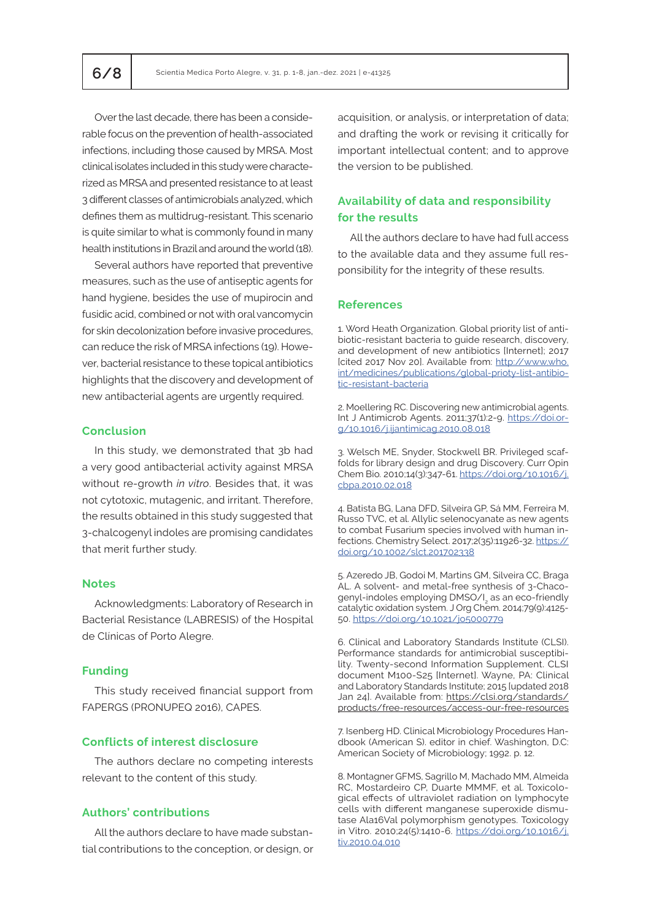Over the last decade, there has been a considerable focus on the prevention of health-associated infections, including those caused by MRSA. Most clinical isolates included in this study were characterized as MRSA and presented resistance to at least 3 different classes of antimicrobials analyzed, which defines them as multidrug-resistant. This scenario is quite similar to what is commonly found in many health institutions in Brazil and around the world (18).

Several authors have reported that preventive measures, such as the use of antiseptic agents for hand hygiene, besides the use of mupirocin and fusidic acid, combined or not with oral vancomycin for skin decolonization before invasive procedures, can reduce the risk of MRSA infections (19). However, bacterial resistance to these topical antibiotics highlights that the discovery and development of new antibacterial agents are urgently required.

# **Conclusion**

In this study, we demonstrated that 3b had a very good antibacterial activity against MRSA without re-growth *in vitro*. Besides that, it was not cytotoxic, mutagenic, and irritant. Therefore, the results obtained in this study suggested that 3-chalcogenyl indoles are promising candidates that merit further study.

#### **Notes**

Acknowledgments: Laboratory of Research in Bacterial Resistance (LABRESIS) of the Hospital de Clínicas of Porto Alegre.

#### **Funding**

This study received financial support from FAPERGS (PRONUPEQ 2016), CAPES.

# **Conflicts of interest disclosure**

The authors declare no competing interests relevant to the content of this study.

# **Authors' contributions**

All the authors declare to have made substantial contributions to the conception, or design, or acquisition, or analysis, or interpretation of data; and drafting the work or revising it critically for important intellectual content; and to approve the version to be published.

# **Availability of data and responsibility for the results**

All the authors declare to have had full access to the available data and they assume full responsibility for the integrity of these results.

# **References**

1. Word Heath Organization. Global priority list of antibiotic-resistant bacteria to guide research, discovery, and development of new antibiotics [Internet]; 2017 [cited 2017 Nov 20]. Available from: [http://www.who.](http://www.who.int/medicines/publications/global-prioty-list-antibiotic-resistant-bacteria) [int/medicines/publications/global-prioty-list-antibio](http://www.who.int/medicines/publications/global-prioty-list-antibiotic-resistant-bacteria)[tic-resistant-bacteria](http://www.who.int/medicines/publications/global-prioty-list-antibiotic-resistant-bacteria)

2. Moellering RC. Discovering new antimicrobial agents. Int J Antimicrob Agents. 2011;37(1):2-9. [https://doi.or](https://doi.org/10.1016/j.ijantimicag.2010.08.018)[g/10.1016/j.ijantimicag.2010.08.018](https://doi.org/10.1016/j.ijantimicag.2010.08.018)

3. Welsch ME, Snyder, Stockwell BR. Privileged scaffolds for library design and drug Discovery. Curr Opin Chem Bio*.* 2010;14(3):347-61. [https://doi.org/10.1016/j.](https://doi.org/10.1016/j.cbpa.2010.02.018) [cbpa.2010.02.018](https://doi.org/10.1016/j.cbpa.2010.02.018)

4. Batista BG, Lana DFD, Silveira GP, Sá MM, Ferreira M, Russo TVC, et al. Allylic selenocyanate as new agents to combat Fusarium species involved with human infections. Chemistry Select. 2017;2(35):11926-32. [https://](https://doi.org/10.1002/slct.201702338) [doi.org/10.1002/slct.201702338](https://doi.org/10.1002/slct.201702338)

5. Azeredo JB, Godoi M, Martins GM, Silveira CC, Braga AL. A solvent- and metal-free synthesis of 3‑Chacogenyl-indoles employing DMSO/I<sub>2</sub> as an eco-friendly catalytic oxidation system. J Org Chem. 2014;79(9):4125-50. <https://doi.org/10.1021/jo5000779>

6. Clinical and Laboratory Standards Institute (CLSI). Performance standards for antimicrobial susceptibility*.* Twenty-second Information Supplement. CLSI document M100-S25 [Internet]. Wayne, PA: Clinical and Laboratory Standards Institute; 2015 [updated 2018 Jan 24]. Available from: [https://clsi.org/standards/](https://clsi.org/standards/products/free-resources/access-our-free-resources/) [products/free-resources/access-our-free-resources](https://clsi.org/standards/products/free-resources/access-our-free-resources/)

7. Isenberg HD. Clinical Microbiology Procedures Handbook (American S). editor in chief. Washington, D.C: American Society of Microbiology; 1992. p. 12.

8. Montagner GFMS, Sagrillo M, Machado MM, Almeida RC, Mostardeiro CP, Duarte MMMF, et al. Toxicological effects of ultraviolet radiation on lymphocyte cells with different manganese superoxide dismutase Ala16Val polymorphism genotypes. Toxicology in Vitro. 2010;24(5):1410-6. https://doi.org/10.1016/j. tiv.2010.04.010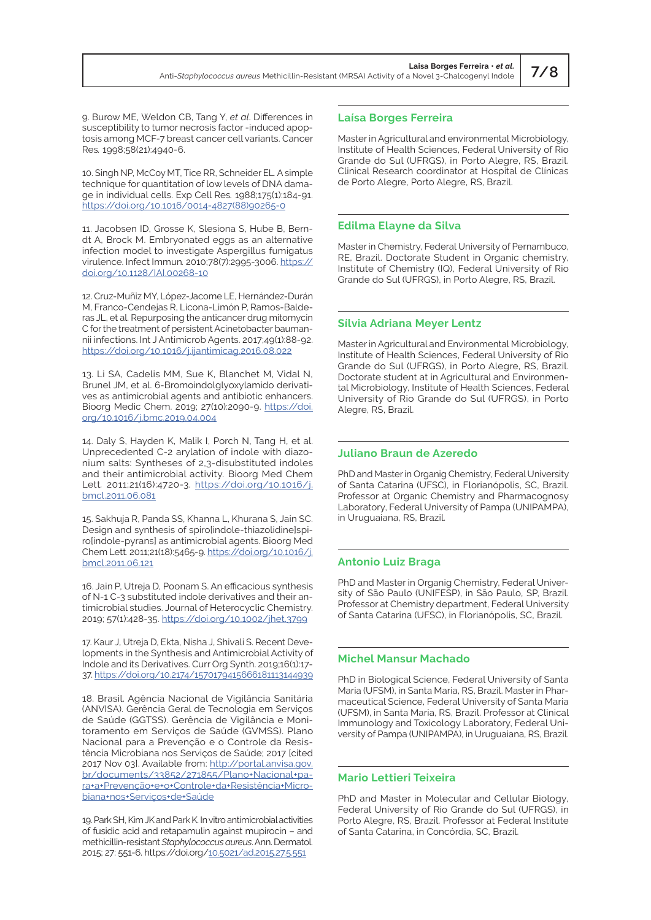9. Burow ME, Weldon CB, Tang Y, *et al*. Differences in susceptibility to tumor necrosis factor -induced apoptosis among MCF-7 breast cancer cell variants. Cancer Res*.* 1998;58(21):4940-6.

10. Singh NP, McCoy MT, Tice RR, Schneider EL*.* A simple technique for quantitation of low levels of DNA damage in individual cells. Exp Cell Res*.* 1988;175(1):184-91. [https://doi.org/10.1016/0014-4827\(88\)90265-0](https://doi.org/10.1016/0014-4827(88)90265-0)

11. Jacobsen ID, Grosse K, Slesiona S, Hube B, Berndt A, Brock M. Embryonated eggs as an alternative infection model to investigate Aspergillus fumigatus virulence. Infect Immun*.* 2010;78(7):2995-3006. [https://](https://doi.org/10.1128/IAI.00268-10) [doi.org/10.1128/IAI.00268-10](https://doi.org/10.1128/IAI.00268-10)

12. Cruz-Muñiz MY, López-Jacome LE, Hernández-Durán M, Franco-Cendejas R, Licona-Limón P, Ramos-Balderas JL, et al. Repurposing the anticancer drug mitomycin C for the treatment of persistent Acinetobacter baumannii infections. Int J Antimicrob Agents. 2017;49(1):88-92. <https://doi.org/10.1016/j.ijantimicag.2016.08.022>

13. Li SA, Cadelis MM, Sue K, Blanchet M, Vidal N, Brunel JM, et al. 6-Bromoindolglyoxylamido derivatives as antimicrobial agents and antibiotic enhancers. Bioorg Medic Chem. 2019; 27(10):2090-9. https://doi. org/10.1016/j.bmc.2019.04.004

14. Daly S, Hayden K, Malik I, Porch N, Tang H, et al. Unprecedented C-2 arylation of indole with diazonium salts: Syntheses of 2,3-disubstituted indoles and their antimicrobial activity*.* Bioorg Med Chem Lett*.* 2011;21(16):4720-3. [https://doi.org/10.1016/j.](https://doi.org/10.1016/j.bmcl.2011.06.081) [bmcl.2011.06.081](https://doi.org/10.1016/j.bmcl.2011.06.081)

15. Sakhuja R, Panda SS, Khanna L, Khurana S, Jain SC. Design and synthesis of spiro[indole-thiazolidine]spiro[indole-pyrans] as antimicrobial agents. Bioorg Med Chem Lett*.* 2011;21(18):5465-9. [https://doi.org/10.1016/j.](https://doi.org/10.1016/j.bmcl.2011.06.121) [bmcl.2011.06.121](https://doi.org/10.1016/j.bmcl.2011.06.121)

16. Jain P, Utreja D, Poonam S. An efficacious synthesis of N-1 C-3 substituted indole derivatives and their antimicrobial studies. Journal of Heterocyclic Chemistry. 2019; 57(1):428-35. https://doi.org/10.1002/jhet.3799

17. Kaur J, Utreja D, Ekta, Nisha J, Shivali S. Recent Developments in the Synthesis and Antimicrobial Activity of Indole and its Derivatives. Curr Org Synth. 2019;16(1):17- 37. https://doi.org/10.2174/1570179415666181113144939

18. Brasil. Agência Nacional de Vigilância Sanitária (ANVISA). Gerência Geral de Tecnologia em Serviços de Saúde (GGTSS). Gerência de Vigilância e Monitoramento em Serviços de Saúde (GVMSS). Plano Nacional para a Prevenção e o Controle da Resistência Microbiana nos Serviços de Saúde; 2017 [cited 2017 Nov 03]. Available from: [http://portal.anvisa.gov.](http://portal.anvisa.gov.br/documents/33852/271855/Plano+Nacional+para+a+PrevenÁ„o+e+o+Controle+da+ResistÍncia+Microbiana+nos+ServiÁos+de+Sa˙de) [br/documents/33852/271855/Plano+Nacional+pa](http://portal.anvisa.gov.br/documents/33852/271855/Plano+Nacional+para+a+PrevenÁ„o+e+o+Controle+da+ResistÍncia+Microbiana+nos+ServiÁos+de+Sa˙de)[ra+a+Prevenção+e+o+Controle+da+Resistência+Micro](http://portal.anvisa.gov.br/documents/33852/271855/Plano+Nacional+para+a+PrevenÁ„o+e+o+Controle+da+ResistÍncia+Microbiana+nos+ServiÁos+de+Sa˙de)[biana+nos+Serviços+de+Saúde](http://portal.anvisa.gov.br/documents/33852/271855/Plano+Nacional+para+a+PrevenÁ„o+e+o+Controle+da+ResistÍncia+Microbiana+nos+ServiÁos+de+Sa˙de)

19. Park SH, Kim JK and Park K. In vitro antimicrobial activities of fusidic acid and retapamulin against mupirocin – and methicillin-resistant *Staphylococcus aureus*. Ann. Dermatol. 2015; 27: 551-6. https://doi.org/[10.5021/ad.2015.27.5.551](https://doi.org/10.5021/ad.2015.27.5.551)

# **Laísa Borges Ferreira**

Master in Agricultural and environmental Microbiology, Institute of Health Sciences, Federal University of Rio Grande do Sul (UFRGS), in Porto Alegre, RS, Brazil. Clinical Research coordinator at Hospital de Clínicas de Porto Alegre, Porto Alegre, RS, Brazil.

#### **Edilma Elayne da Silva**

Master in Chemistry, Federal University of Pernambuco, RE, Brazil. Doctorate Student in Organic chemistry, Institute of Chemistry (IQ), Federal University of Rio Grande do Sul (UFRGS), in Porto Alegre, RS, Brazil.

#### **Sílvia Adriana Meyer Lentz**

Master in Agricultural and Environmental Microbiology, Institute of Health Sciences, Federal University of Rio Grande do Sul (UFRGS), in Porto Alegre, RS, Brazil. Doctorate student at in Agricultural and Environmental Microbiology, Institute of Health Sciences, Federal University of Rio Grande do Sul (UFRGS), in Porto Alegre, RS, Brazil.

#### **Juliano Braun de Azeredo**

PhD and Master in Organig Chemistry, Federal University of Santa Catarina (UFSC), in Florianópolis, SC, Brazil. Professor at Organic Chemistry and Pharmacognosy Laboratory, Federal University of Pampa (UNIPAMPA), in Uruguaiana, RS, Brazil.

#### **Antonio Luiz Braga**

PhD and Master in Organig Chemistry, Federal University of São Paulo (UNIFESP), in São Paulo, SP, Brazil. Professor at Chemistry department, Federal University of Santa Catarina (UFSC), in Florianópolis, SC, Brazil.

#### **Michel Mansur Machado**

PhD in Biological Science, Federal University of Santa Maria (UFSM), in Santa Maria, RS, Brazil. Master in Pharmaceutical Science, Federal University of Santa Maria (UFSM), in Santa Maria, RS, Brazil. Professor at Clinical Immunology and Toxicology Laboratory, Federal University of Pampa (UNIPAMPA), in Uruguaiana, RS, Brazil.

#### **Mario Lettieri Teixeira**

PhD and Master in Molecular and Cellular Biology, Federal University of Rio Grande do Sul (UFRGS), in Porto Alegre, RS, Brazil. Professor at Federal Institute of Santa Catarina, in Concórdia, SC, Brazil.